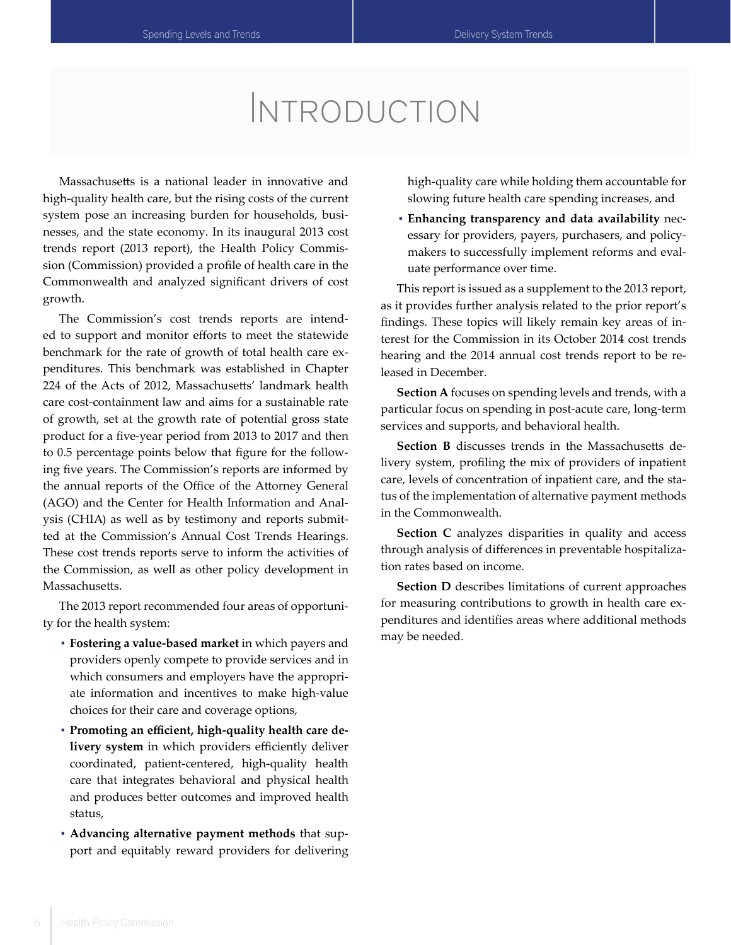# Introduction

Massachusetts is a national leader in innovative and high-quality health care, but the rising costs of the current system pose an increasing burden for households, businesses, and the state economy. In its inaugural 2013 cost trends report (2013 report), the Health Policy Commission (Commission) provided a profile of health care in the Commonwealth and analyzed significant drivers of cost growth.

The Commission's cost trends reports are intended to support and monitor efforts to meet the statewide benchmark for the rate of growth of total health care expenditures. This benchmark was established in Chapter 224 of the Acts of 2012, Massachusetts' landmark health care cost-containment law and aims for a sustainable rate of growth, set at the growth rate of potential gross state product for a five-year period from 2013 to 2017 and then to 0.5 percentage points below that figure for the following five years. The Commission's reports are informed by the annual reports of the Office of the Attorney General (AGO) and the Center for Health Information and Analysis (CHIA) as well as by testimony and reports submitted at the Commission's Annual Cost Trends Hearings. These cost trends reports serve to inform the activities of the Commission, as well as other policy development in Massachusetts.

The 2013 report recommended four areas of opportunity for the health system:

- **Fostering a value-based market** in which payers and providers openly compete to provide services and in which consumers and employers have the appropriate information and incentives to make high-value choices for their care and coverage options,
- **Promoting an efficient, high-quality health care delivery system** in which providers efficiently deliver coordinated, patient-centered, high-quality health care that integrates behavioral and physical health and produces better outcomes and improved health status,
- **Advancing alternative payment methods** that support and equitably reward providers for delivering

high-quality care while holding them accountable for slowing future health care spending increases, and

▪ **Enhancing transparency and data availability** necessary for providers, payers, purchasers, and policymakers to successfully implement reforms and evaluate performance over time.

This report is issued as a supplement to the 2013 report, as it provides further analysis related to the prior report's findings. These topics will likely remain key areas of interest for the Commission in its October 2014 cost trends hearing and the 2014 annual cost trends report to be released in December.

**Section A** focuses on spending levels and trends, with a particular focus on spending in post-acute care, long-term services and supports, and behavioral health.

**Section B** discusses trends in the Massachusetts delivery system, profiling the mix of providers of inpatient care, levels of concentration of inpatient care, and the status of the implementation of alternative payment methods in the Commonwealth.

**Section C** analyzes disparities in quality and access through analysis of differences in preventable hospitalization rates based on income.

**Section D** describes limitations of current approaches for measuring contributions to growth in health care expenditures and identifies areas where additional methods may be needed.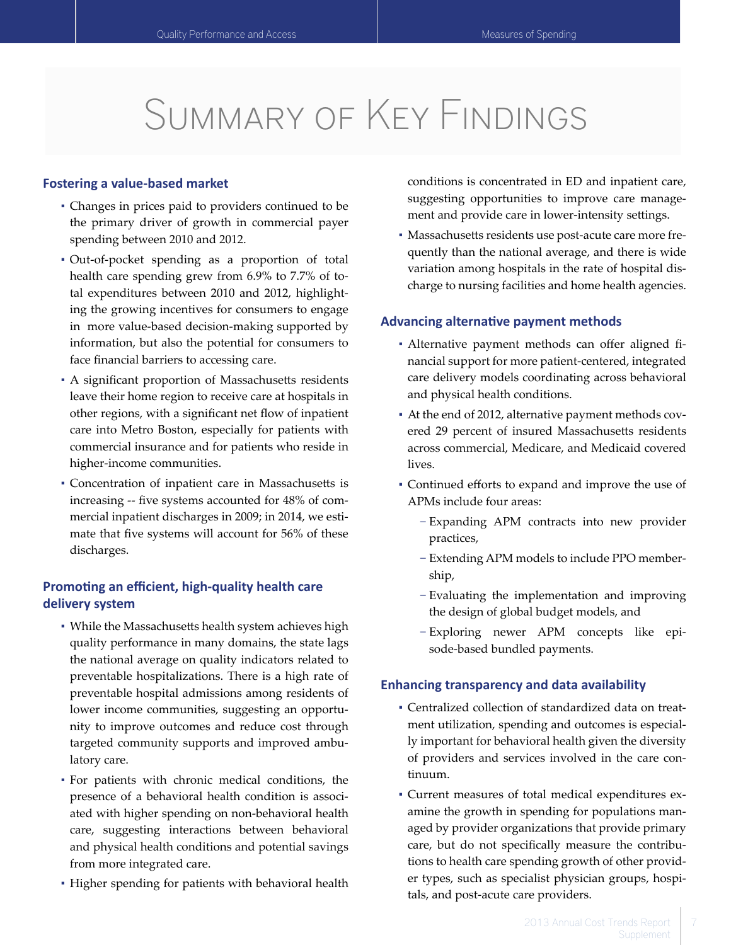# Summary of Key Findings

#### **Fostering a value-based market**

- Changes in prices paid to providers continued to be the primary driver of growth in commercial payer spending between 2010 and 2012.
- Out-of-pocket spending as a proportion of total health care spending grew from 6.9% to 7.7% of total expenditures between 2010 and 2012, highlighting the growing incentives for consumers to engage in more value-based decision-making supported by information, but also the potential for consumers to face financial barriers to accessing care.
- A significant proportion of Massachusetts residents leave their home region to receive care at hospitals in other regions, with a significant net flow of inpatient care into Metro Boston, especially for patients with commercial insurance and for patients who reside in higher-income communities.
- Concentration of inpatient care in Massachusetts is increasing -- five systems accounted for 48% of commercial inpatient discharges in 2009; in 2014, we estimate that five systems will account for 56% of these discharges.

# **Promoting an efficient, high-quality health care delivery system**

- While the Massachusetts health system achieves high quality performance in many domains, the state lags the national average on quality indicators related to preventable hospitalizations. There is a high rate of preventable hospital admissions among residents of lower income communities, suggesting an opportunity to improve outcomes and reduce cost through targeted community supports and improved ambulatory care.
- For patients with chronic medical conditions, the presence of a behavioral health condition is associated with higher spending on non-behavioral health care, suggesting interactions between behavioral and physical health conditions and potential savings from more integrated care.
- Higher spending for patients with behavioral health

conditions is concentrated in ED and inpatient care, suggesting opportunities to improve care management and provide care in lower-intensity settings.

▪ Massachusetts residents use post-acute care more frequently than the national average, and there is wide variation among hospitals in the rate of hospital discharge to nursing facilities and home health agencies.

#### **Advancing alternative payment methods**

- Alternative payment methods can offer aligned financial support for more patient-centered, integrated care delivery models coordinating across behavioral and physical health conditions.
- At the end of 2012, alternative payment methods covered 29 percent of insured Massachusetts residents across commercial, Medicare, and Medicaid covered lives.
- Continued efforts to expand and improve the use of APMs include four areas:
	- − Expanding APM contracts into new provider practices,
	- − Extending APM models to include PPO membership,
	- − Evaluating the implementation and improving the design of global budget models, and
	- − Exploring newer APM concepts like episode-based bundled payments.

#### **Enhancing transparency and data availability**

- Centralized collection of standardized data on treatment utilization, spending and outcomes is especially important for behavioral health given the diversity of providers and services involved in the care continuum.
- Current measures of total medical expenditures examine the growth in spending for populations managed by provider organizations that provide primary care, but do not specifically measure the contributions to health care spending growth of other provider types, such as specialist physician groups, hospitals, and post-acute care providers.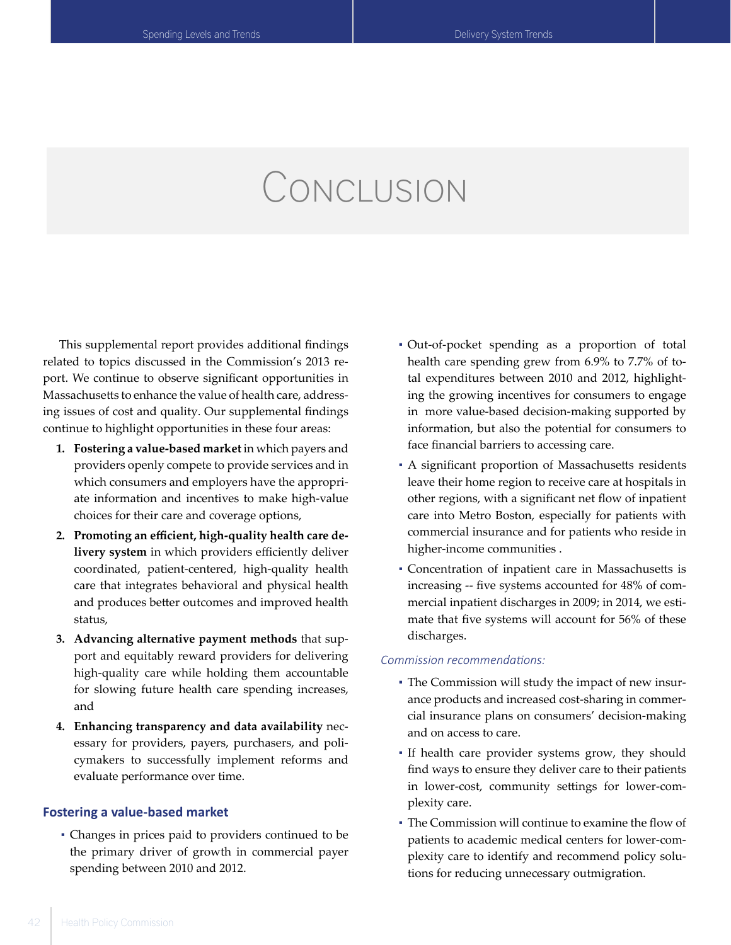# Conclusion

This supplemental report provides additional findings related to topics discussed in the Commission's 2013 report. We continue to observe significant opportunities in Massachusetts to enhance the value of health care, addressing issues of cost and quality. Our supplemental findings continue to highlight opportunities in these four areas:

- **1. Fostering a value-based market** in which payers and providers openly compete to provide services and in which consumers and employers have the appropriate information and incentives to make high-value choices for their care and coverage options,
- **2. Promoting an efficient, high-quality health care delivery system** in which providers efficiently deliver coordinated, patient-centered, high-quality health care that integrates behavioral and physical health and produces better outcomes and improved health status,
- **3. Advancing alternative payment methods** that support and equitably reward providers for delivering high-quality care while holding them accountable for slowing future health care spending increases, and
- **4. Enhancing transparency and data availability** necessary for providers, payers, purchasers, and policymakers to successfully implement reforms and evaluate performance over time.

#### **Fostering a value-based market**

▪ Changes in prices paid to providers continued to be the primary driver of growth in commercial payer spending between 2010 and 2012.

- Out-of-pocket spending as a proportion of total health care spending grew from 6.9% to 7.7% of total expenditures between 2010 and 2012, highlighting the growing incentives for consumers to engage in more value-based decision-making supported by information, but also the potential for consumers to face financial barriers to accessing care.
- A significant proportion of Massachusetts residents leave their home region to receive care at hospitals in other regions, with a significant net flow of inpatient care into Metro Boston, especially for patients with commercial insurance and for patients who reside in higher-income communities .
- Concentration of inpatient care in Massachusetts is increasing -- five systems accounted for 48% of commercial inpatient discharges in 2009; in 2014, we estimate that five systems will account for 56% of these discharges.

#### *Commission recommendations:*

- The Commission will study the impact of new insurance products and increased cost-sharing in commercial insurance plans on consumers' decision-making and on access to care.
- If health care provider systems grow, they should find ways to ensure they deliver care to their patients in lower-cost, community settings for lower-complexity care.
- The Commission will continue to examine the flow of patients to academic medical centers for lower-complexity care to identify and recommend policy solutions for reducing unnecessary outmigration.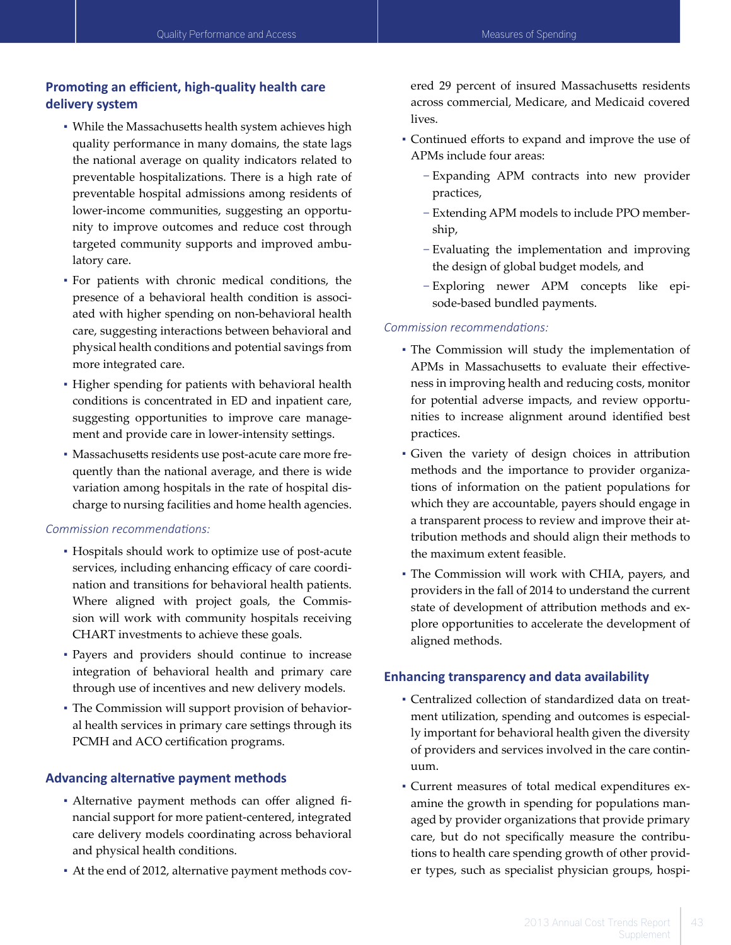# **Promoting an efficient, high-quality health care delivery system**

- While the Massachusetts health system achieves high quality performance in many domains, the state lags the national average on quality indicators related to preventable hospitalizations. There is a high rate of preventable hospital admissions among residents of lower-income communities, suggesting an opportunity to improve outcomes and reduce cost through targeted community supports and improved ambulatory care.
- For patients with chronic medical conditions, the presence of a behavioral health condition is associated with higher spending on non-behavioral health care, suggesting interactions between behavioral and physical health conditions and potential savings from more integrated care.
- Higher spending for patients with behavioral health conditions is concentrated in ED and inpatient care, suggesting opportunities to improve care management and provide care in lower-intensity settings.
- Massachusetts residents use post-acute care more frequently than the national average, and there is wide variation among hospitals in the rate of hospital discharge to nursing facilities and home health agencies.

#### *Commission recommendations:*

- Hospitals should work to optimize use of post-acute services, including enhancing efficacy of care coordination and transitions for behavioral health patients. Where aligned with project goals, the Commission will work with community hospitals receiving CHART investments to achieve these goals.
- Payers and providers should continue to increase integration of behavioral health and primary care through use of incentives and new delivery models.
- The Commission will support provision of behavioral health services in primary care settings through its PCMH and ACO certification programs.

## **Advancing alternative payment methods**

- Alternative payment methods can offer aligned financial support for more patient-centered, integrated care delivery models coordinating across behavioral and physical health conditions.
- At the end of 2012, alternative payment methods cov-

ered 29 percent of insured Massachusetts residents across commercial, Medicare, and Medicaid covered lives.

- Continued efforts to expand and improve the use of APMs include four areas:
	- − Expanding APM contracts into new provider practices,
	- − Extending APM models to include PPO membership,
	- − Evaluating the implementation and improving the design of global budget models, and
	- − Exploring newer APM concepts like episode-based bundled payments.

## *Commission recommendations:*

- The Commission will study the implementation of APMs in Massachusetts to evaluate their effectiveness in improving health and reducing costs, monitor for potential adverse impacts, and review opportunities to increase alignment around identified best practices.
- Given the variety of design choices in attribution methods and the importance to provider organizations of information on the patient populations for which they are accountable, payers should engage in a transparent process to review and improve their attribution methods and should align their methods to the maximum extent feasible.
- The Commission will work with CHIA, payers, and providers in the fall of 2014 to understand the current state of development of attribution methods and explore opportunities to accelerate the development of aligned methods.

## **Enhancing transparency and data availability**

- Centralized collection of standardized data on treatment utilization, spending and outcomes is especially important for behavioral health given the diversity of providers and services involved in the care continuum.
- Current measures of total medical expenditures examine the growth in spending for populations managed by provider organizations that provide primary care, but do not specifically measure the contributions to health care spending growth of other provider types, such as specialist physician groups, hospi-